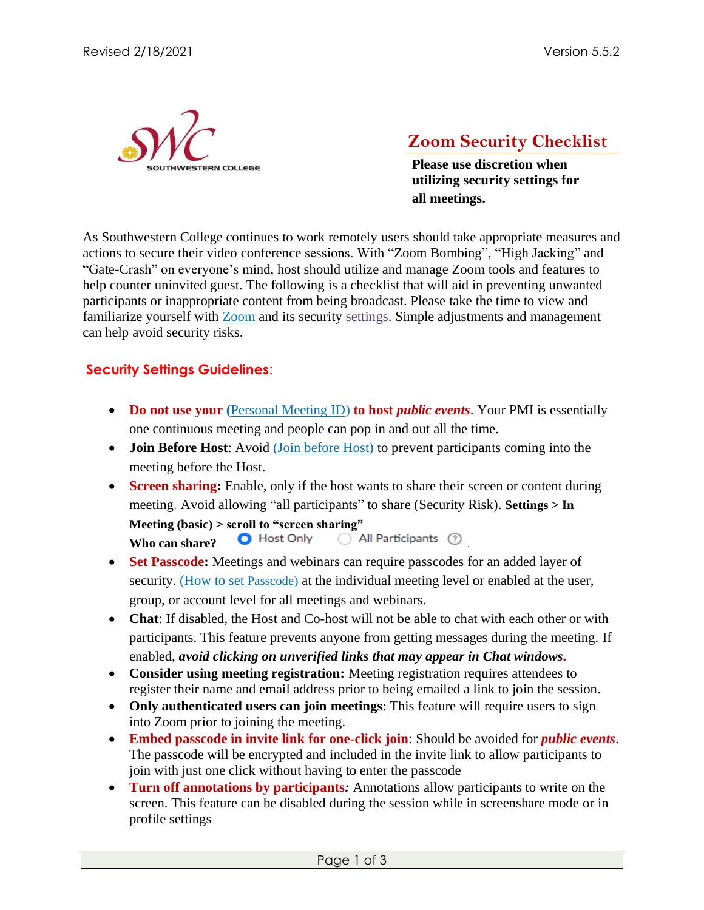

## **Zoom Security Checklist**

**Please use discretion when utilizing security settings for all meetings.** 

As Southwestern College continues to work remotely users should take appropriate measures and actions to secure their video conference sessions. With "Zoom Bombing", "High Jacking" and "Gate-Crash" on everyone's mind, host should utilize and manage Zoom tools and features to help counter uninvited guest. The following is a checklist that will aid in preventing unwanted participants or inappropriate content from being broadcast. Please take the time to view and familiarize yourself with [Zoom](https://zoom.us/) and its security [settings.](https://zoom.us/profile/setting) Simple adjustments and management can help avoid security risks.

## **Security Settings Guidelines**:

- **Do not use your** ([Personal Meeting ID\)](https://support.zoom.us/hc/en-us/articles/203276937-Using-Personal-Meeting-ID-PMI-?zcid=1231) **to host** *public events*. Your PMI is essentially one continuous meeting and people can pop in and out all the time.
- **Join Before Host:** Avoid (*Join before Host*) to prevent participants coming into the meeting before the Host.
- **Screen sharing:** Enable, only if the host wants to share their screen or content during meeting. Avoid allowing "all participants" to share (Security Risk). **Settings > In Meeting (basic) > scroll to "screen sharing" Who can share? O** Host Only  $\bigcirc$  All Participants  $\circled{?}$
- **Set Passcode:** Meetings and webinars can require passcodes for an added layer of security. (How to set Passcode) at the individual meeting level or enabled at the user, group, or account level for all meetings and webinars.
- **Chat**: If disabled, the Host and Co-host will not be able to chat with each other or with participants. This feature prevents anyone from getting messages during the meeting. If enabled, *avoid clicking on unverified links that may appear in Chat windows.*
- **Consider using meeting registration:** Meeting registration requires attendees to register their name and email address prior to being emailed a link to join the session.
- Only authenticated users can join meetings: This feature will require users to sign into Zoom prior to joining the meeting.
- **Embed passcode in invite link for one-click join**: Should be avoided for *public events*. The passcode will be encrypted and included in the invite link to allow participants to join with just one click without having to enter the passcode
- **Turn off annotations by participants***:* Annotations allow participants to write on the screen. This feature can be disabled during the session while in screenshare mode or in profile settings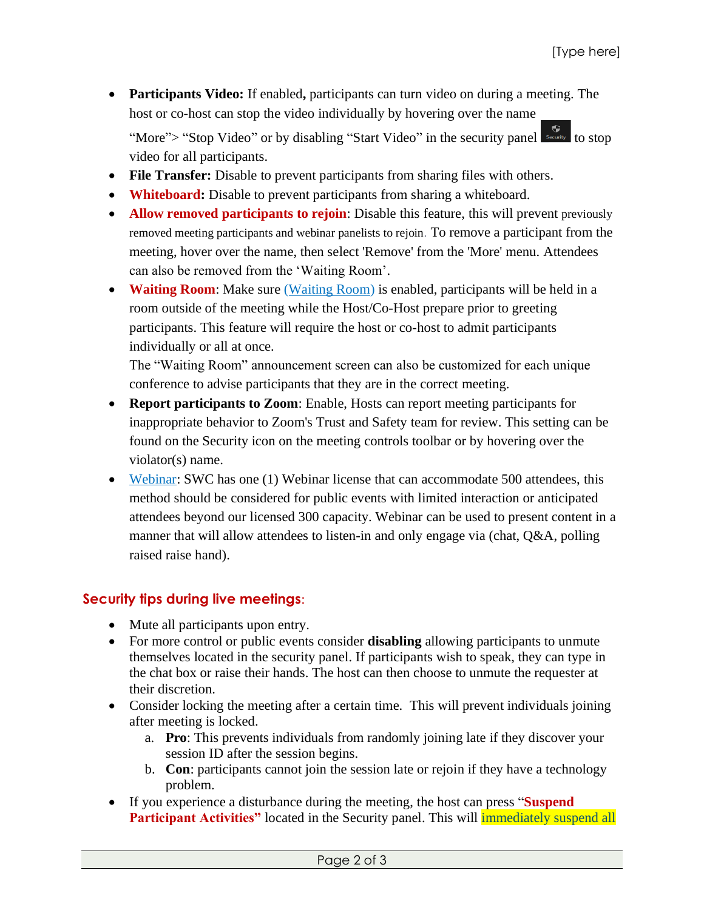• **Participants Video:** If enabled**,** participants can turn video on during a meeting. The host or co-host can stop the video individually by hovering over the name

"More"> "Stop Video" or by disabling "Start Video" in the security panel video for all participants.

- **File Transfer:** Disable to prevent participants from sharing files with others.
- **Whiteboard:** Disable to prevent participants from sharing a whiteboard.
- **Allow removed participants to rejoin**: Disable this feature, this will prevent previously removed meeting participants and webinar panelists to rejoin. To remove a participant from the meeting, hover over the name, then select 'Remove' from the 'More' menu. Attendees can also be removed from the 'Waiting Room'.
- **Waiting Room**: Make sure [\(Waiting Room\)](https://support.zoom.us/hc/en-us/articles/115000332726-Waiting-Room?zcid=1231) is enabled, participants will be held in a room outside of the meeting while the Host/Co-Host prepare prior to greeting participants. This feature will require the host or co-host to admit participants individually or all at once.

The "Waiting Room" announcement screen can also be customized for each unique conference to advise participants that they are in the correct meeting.

- **Report participants to Zoom**: Enable, Hosts can report meeting participants for inappropriate behavior to Zoom's Trust and Safety team for review. This setting can be found on the Security icon on the meeting controls toolbar or by hovering over the violator(s) name.
- [Webinar:](https://support.zoom.us/hc/en-us/articles/115005474943-Meeting-and-webinar-comparison) SWC has one (1) Webinar license that can accommodate 500 attendees, this method should be considered for public events with limited interaction or anticipated attendees beyond our licensed 300 capacity. Webinar can be used to present content in a manner that will allow attendees to listen-in and only engage via (chat, Q&A, polling raised raise hand).

## **Security tips during live meetings**:

- Mute all participants upon entry.
- For more control or public events consider **disabling** allowing participants to unmute themselves located in the security panel. If participants wish to speak, they can type in the chat box or raise their hands. The host can then choose to unmute the requester at their discretion.
- Consider locking the meeting after a certain time. This will prevent individuals joining after meeting is locked.
	- a. **Pro**: This prevents individuals from randomly joining late if they discover your session ID after the session begins.
	- b. **Con**: participants cannot join the session late or rejoin if they have a technology problem.
- If you experience a disturbance during the meeting, the host can press "**Suspend Participant Activities**" located in the Security panel. This will *immediately suspend all*